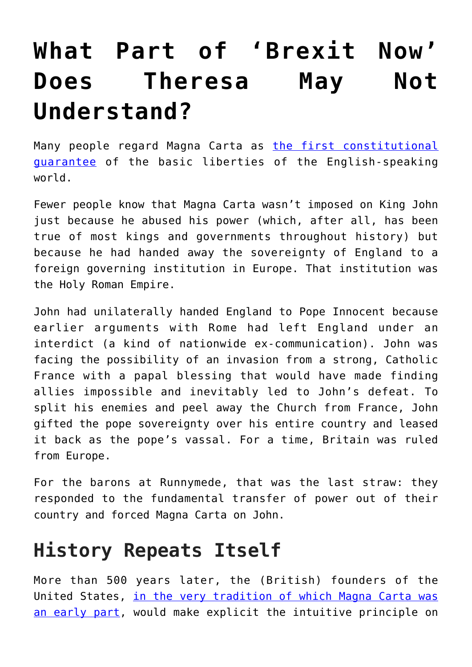## **[What Part of 'Brexit Now'](https://intellectualtakeout.org/2018/07/what-part-of-brexit-now-does-theresa-may-not-understand/) [Does Theresa May Not](https://intellectualtakeout.org/2018/07/what-part-of-brexit-now-does-theresa-may-not-understand/) [Understand?](https://intellectualtakeout.org/2018/07/what-part-of-brexit-now-does-theresa-may-not-understand/)**

Many people regard Magna Carta as [the first constitutional](http://www.huffingtonpost.com/robin-koerner/political-liberty-turns-1_b_4763442.html) [guarantee](http://www.huffingtonpost.com/robin-koerner/political-liberty-turns-1_b_4763442.html) of the basic liberties of the English-speaking world.

Fewer people know that Magna Carta wasn't imposed on King John just because he abused his power (which, after all, has been true of most kings and governments throughout history) but because he had handed away the sovereignty of England to a foreign governing institution in Europe. That institution was the Holy Roman Empire.

John had unilaterally handed England to Pope Innocent because earlier arguments with Rome had left England under an interdict (a kind of nationwide ex-communication). John was facing the possibility of an invasion from a strong, Catholic France with a papal blessing that would have made finding allies impossible and inevitably led to John's defeat. To split his enemies and peel away the Church from France, John gifted the pope sovereignty over his entire country and leased it back as the pope's vassal. For a time, Britain was ruled from Europe.

For the barons at Runnymede, that was the last straw: they responded to the fundamental transfer of power out of their country and forced Magna Carta on John.

## **History Repeats Itself**

More than 500 years later, the (British) founders of the United States, [in the very tradition of which Magna Carta was](http://www.huffingtonpost.com/robin-koerner/political-liberty-turns-1_b_4763442.html) [an early part](http://www.huffingtonpost.com/robin-koerner/political-liberty-turns-1_b_4763442.html), would make explicit the intuitive principle on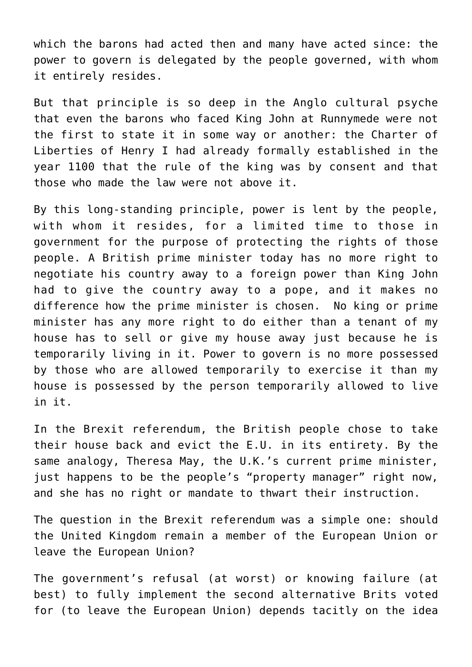which the barons had acted then and many have acted since: the power to govern is delegated by the people governed, with whom it entirely resides.

But that principle is so deep in the Anglo cultural psyche that even the barons who faced King John at Runnymede were not the first to state it in some way or another: the Charter of Liberties of Henry I had already formally established in the year 1100 that the rule of the king was by consent and that those who made the law were not above it.

By this long-standing principle, power is lent by the people, with whom it resides, for a limited time to those in government for the purpose of protecting the rights of those people. A British prime minister today has no more right to negotiate his country away to a foreign power than King John had to give the country away to a pope, and it makes no difference how the prime minister is chosen. No king or prime minister has any more right to do either than a tenant of my house has to sell or give my house away just because he is temporarily living in it. Power to govern is no more possessed by those who are allowed temporarily to exercise it than my house is possessed by the person temporarily allowed to live in it.

In the Brexit referendum, the British people chose to take their house back and evict the E.U. in its entirety. By the same analogy, Theresa May, the U.K.'s current prime minister, just happens to be the people's "property manager" right now, and she has no right or mandate to thwart their instruction.

The question in the Brexit referendum was a simple one: should the United Kingdom remain a member of the European Union or leave the European Union?

The government's refusal (at worst) or knowing failure (at best) to fully implement the second alternative Brits voted for (to leave the European Union) depends tacitly on the idea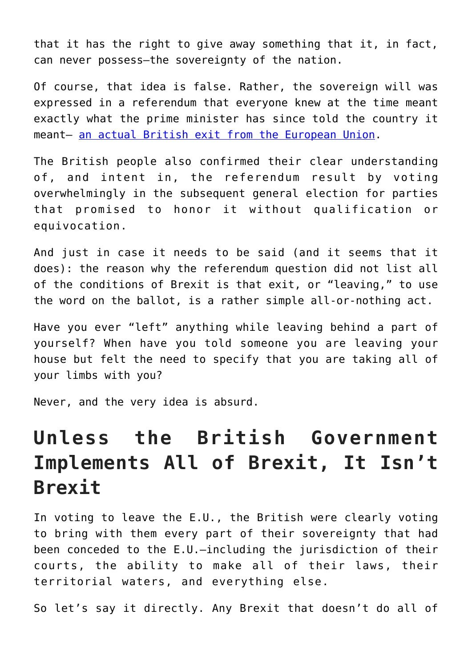that it has the right to give away something that it, in fact, can never possess—the sovereignty of the nation.

Of course, that idea is false. Rather, the sovereign will was expressed in a referendum that everyone knew at the time meant exactly what the prime minister has since told the country it meant— [an actual British exit from the European Union](https://www.independent.co.uk/news/uk/politics/theresa-may-brexit-means-brexit-conservative-leadership-no-attempt-remain-inside-eu-leave-europe-a7130596.html).

The British people also confirmed their clear understanding of, and intent in, the referendum result by voting overwhelmingly in the subsequent general election for parties that promised to honor it without qualification or equivocation.

And just in case it needs to be said (and it seems that it does): the reason why the referendum question did not list all of the conditions of Brexit is that exit, or "leaving," to use the word on the ballot, is a rather simple all-or-nothing act.

Have you ever "left" anything while leaving behind a part of yourself? When have you told someone you are leaving your house but felt the need to specify that you are taking all of your limbs with you?

Never, and the very idea is absurd.

## **Unless the British Government Implements All of Brexit, It Isn't Brexit**

In voting to leave the E.U., the British were clearly voting to bring with them every part of their sovereignty that had been conceded to the E.U.—including the jurisdiction of their courts, the ability to make all of their laws, their territorial waters, and everything else.

So let's say it directly. Any Brexit that doesn't do all of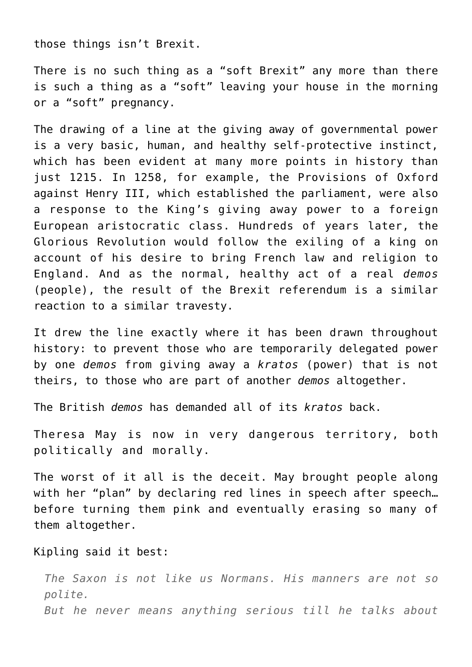those things isn't Brexit.

There is no such thing as a "soft Brexit" any more than there is such a thing as a "soft" leaving your house in the morning or a "soft" pregnancy.

The drawing of a line at the giving away of governmental power is a very basic, human, and healthy self-protective instinct, which has been evident at many more points in history than just 1215. In 1258, for example, the Provisions of Oxford against Henry III, which established the parliament, were also a response to the King's giving away power to a foreign European aristocratic class. Hundreds of years later, the Glorious Revolution would follow the exiling of a king on account of his desire to bring French law and religion to England. And as the normal, healthy act of a real *demos* (people), the result of the Brexit referendum is a similar reaction to a similar travesty.

It drew the line exactly where it has been drawn throughout history: to prevent those who are temporarily delegated power by one *demos* from giving away a *kratos* (power) that is not theirs, to those who are part of another *demos* altogether.

The British *demos* has demanded all of its *kratos* back.

Theresa May is now in very dangerous territory, both politically and morally.

The worst of it all is the deceit. May brought people along with her "plan" by declaring red lines in speech after speech... before turning them pink and eventually erasing so many of them altogether.

Kipling said it best:

*The Saxon is not like us Normans. His manners are not so polite. But he never means anything serious till he talks about*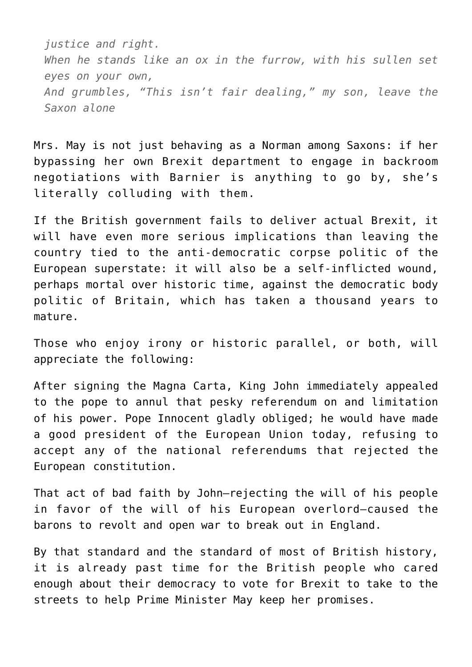*justice and right. When he stands like an ox in the furrow, with his sullen set eyes on your own, And grumbles, "This isn't fair dealing," my son, leave the Saxon alone*

Mrs. May is not just behaving as a Norman among Saxons: if her bypassing her own Brexit department to engage in backroom negotiations with Barnier is anything to go by, she's literally colluding with them.

If the British government fails to deliver actual Brexit, it will have even more serious implications than leaving the country tied to the anti-democratic corpse politic of the European superstate: it will also be a self-inflicted wound, perhaps mortal over historic time, against the democratic body politic of Britain, which has taken a thousand years to mature.

Those who enjoy irony or historic parallel, or both, will appreciate the following:

After signing the Magna Carta, King John immediately appealed to the pope to annul that pesky referendum on and limitation of his power. Pope Innocent gladly obliged; he would have made a good president of the European Union today, refusing to accept any of the national referendums that rejected the European constitution.

That act of bad faith by John—rejecting the will of his people in favor of the will of his European overlord—caused the barons to revolt and open war to break out in England.

By that standard and the standard of most of British history, it is already past time for the British people who cared enough about their democracy to vote for Brexit to take to the streets to help Prime Minister May keep her promises.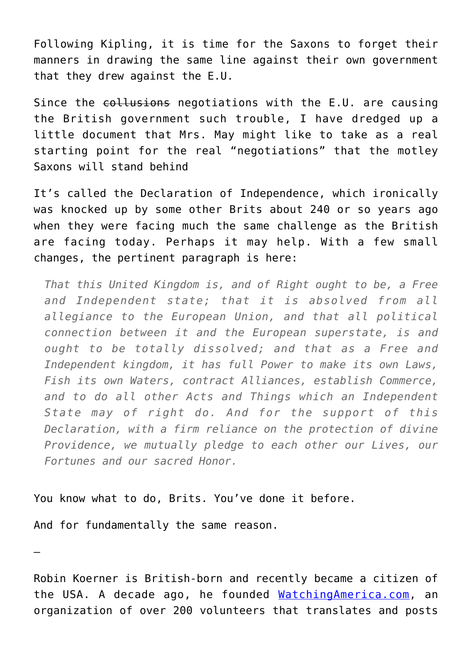Following Kipling, it is time for the Saxons to forget their manners in drawing the same line against their own government that they drew against the E.U.

Since the collusions negotiations with the E.U. are causing the British government such trouble, I have dredged up a little document that Mrs. May might like to take as a real starting point for the real "negotiations" that the motley Saxons will stand behind

It's called the Declaration of Independence, which ironically was knocked up by some other Brits about 240 or so years ago when they were facing much the same challenge as the British are facing today. Perhaps it may help. With a few small changes, the pertinent paragraph is here:

*That this United Kingdom is, and of Right ought to be, a Free and Independent state; that it is absolved from all allegiance to the European Union, and that all political connection between it and the European superstate, is and ought to be totally dissolved; and that as a Free and Independent kingdom, it has full Power to make its own Laws, Fish its own Waters, contract Alliances, establish Commerce, and to do all other Acts and Things which an Independent State may of right do. And for the support of this Declaration, with a firm reliance on the protection of divine Providence, we mutually pledge to each other our Lives, our Fortunes and our sacred Honor.*

You know what to do, Brits. You've done it before.

And for fundamentally the same reason.

—

Robin Koerner is British-born and recently became a citizen of the USA. A decade ago, he founded [WatchingAmerica.com,](http://www.watchingamerica.com) an organization of over 200 volunteers that translates and posts